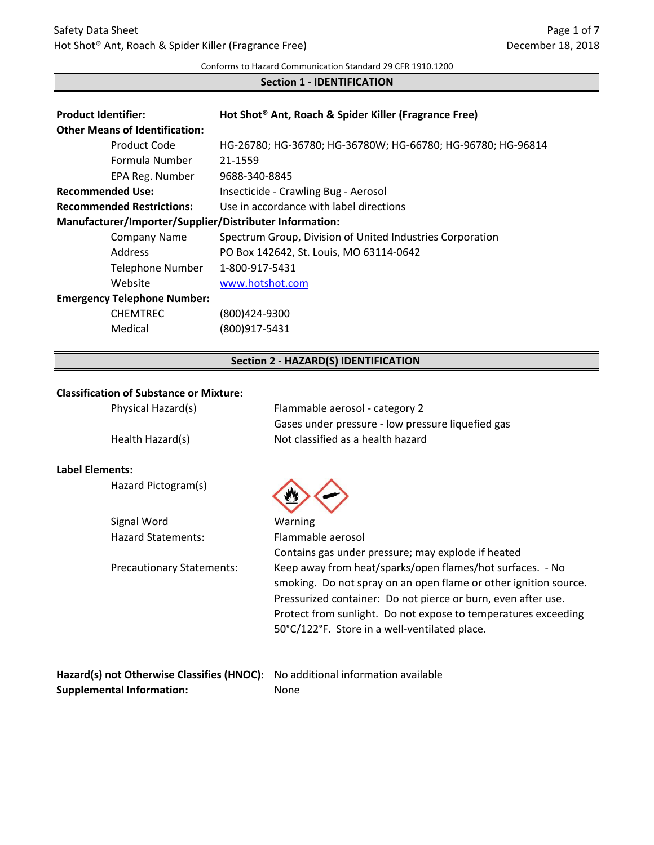#### Conforms to Hazard Communication Standard 29 CFR 1910.1200

## **Section 1 - IDENTIFICATION**

| <b>Product Identifier:</b>                              | Hot Shot <sup>®</sup> Ant, Roach & Spider Killer (Fragrance Free) |  |  |
|---------------------------------------------------------|-------------------------------------------------------------------|--|--|
| <b>Other Means of Identification:</b>                   |                                                                   |  |  |
| Product Code                                            | HG-26780; HG-36780; HG-36780W; HG-66780; HG-96780; HG-96814       |  |  |
| Formula Number                                          | 21-1559                                                           |  |  |
| EPA Reg. Number                                         | 9688-340-8845                                                     |  |  |
| <b>Recommended Use:</b>                                 | Insecticide - Crawling Bug - Aerosol                              |  |  |
| <b>Recommended Restrictions:</b>                        | Use in accordance with label directions                           |  |  |
| Manufacturer/Importer/Supplier/Distributer Information: |                                                                   |  |  |
| <b>Company Name</b>                                     | Spectrum Group, Division of United Industries Corporation         |  |  |
| Address                                                 | PO Box 142642, St. Louis, MO 63114-0642                           |  |  |
| Telephone Number                                        | 1-800-917-5431                                                    |  |  |
| Website                                                 | www.hotshot.com                                                   |  |  |
| <b>Emergency Telephone Number:</b>                      |                                                                   |  |  |
| <b>CHEMTREC</b>                                         | (800)424-9300                                                     |  |  |
| Medical                                                 | (800)917-5431                                                     |  |  |

# **Section 2 - HAZARD(S) IDENTIFICATION**

## **Classification of Substance or Mixture:**

| Physical Hazard(s) | Flammable aerosol - category 2                    |
|--------------------|---------------------------------------------------|
|                    | Gases under pressure - low pressure liquefied gas |
| Health Hazard(s)   | Not classified as a health hazard                 |

## **Label Elements:**

Hazard Pictogram(s)



| Signal Word                      | Warning                                                          |
|----------------------------------|------------------------------------------------------------------|
| <b>Hazard Statements:</b>        | Flammable aerosol                                                |
|                                  | Contains gas under pressure; may explode if heated               |
| <b>Precautionary Statements:</b> | Keep away from heat/sparks/open flames/hot surfaces. - No        |
|                                  | smoking. Do not spray on an open flame or other ignition source. |
|                                  | Pressurized container: Do not pierce or burn, even after use.    |
|                                  | Protect from sunlight. Do not expose to temperatures exceeding   |
|                                  | 50°C/122°F. Store in a well-ventilated place.                    |
|                                  |                                                                  |
|                                  |                                                                  |

| Hazard(s) not Otherwise Classifies (HNOC): No additional information available |      |
|--------------------------------------------------------------------------------|------|
| <b>Supplemental Information:</b>                                               | None |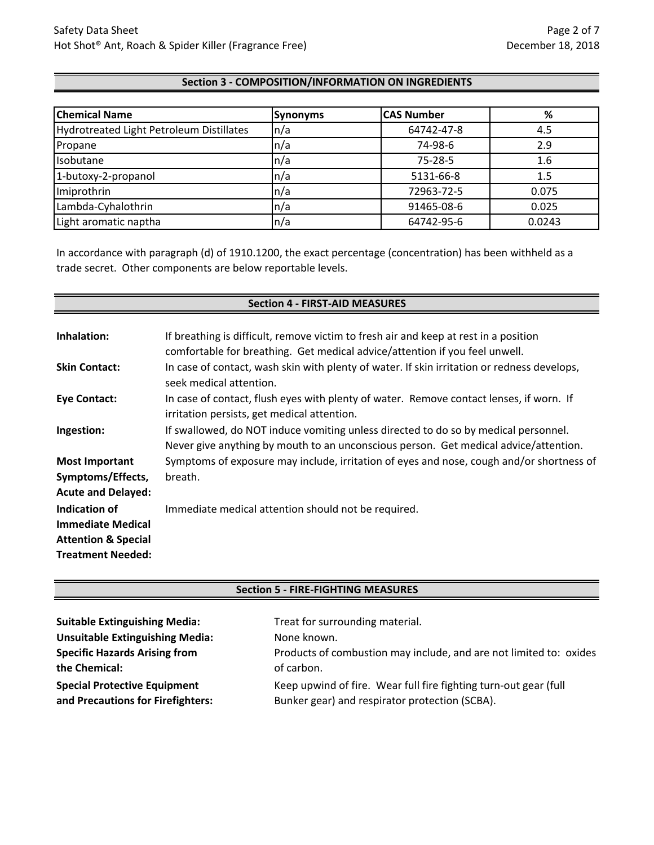## **Section 3 - COMPOSITION/INFORMATION ON INGREDIENTS**

| <b>Chemical Name</b>                     | <b>Synonyms</b>          | <b>CAS Number</b> | %      |
|------------------------------------------|--------------------------|-------------------|--------|
| Hydrotreated Light Petroleum Distillates | $\ln/a$                  | 64742-47-8        | 4.5    |
| Propane                                  | $\ln/a$                  | 74-98-6           | 2.9    |
| Isobutane                                | $\mathsf{In}/\mathsf{a}$ | $75 - 28 - 5$     | 1.6    |
| 1-butoxy-2-propanol                      | $\mathsf{In}/\mathsf{a}$ | 5131-66-8         | 1.5    |
| Imiprothrin                              | $\mathsf{In}/\mathsf{a}$ | 72963-72-5        | 0.075  |
| Lambda-Cyhalothrin                       | $\mathsf{In}/\mathsf{a}$ | 91465-08-6        | 0.025  |
| Light aromatic naptha                    | n/a                      | 64742-95-6        | 0.0243 |

In accordance with paragraph (d) of 1910.1200, the exact percentage (concentration) has been withheld as a trade secret. Other components are below reportable levels.

# **Section 4 - FIRST-AID MEASURES**

| Inhalation:                    | If breathing is difficult, remove victim to fresh air and keep at rest in a position<br>comfortable for breathing. Get medical advice/attention if you feel unwell.         |
|--------------------------------|-----------------------------------------------------------------------------------------------------------------------------------------------------------------------------|
| <b>Skin Contact:</b>           | In case of contact, wash skin with plenty of water. If skin irritation or redness develops,<br>seek medical attention.                                                      |
| <b>Eye Contact:</b>            | In case of contact, flush eyes with plenty of water. Remove contact lenses, if worn. If<br>irritation persists, get medical attention.                                      |
| Ingestion:                     | If swallowed, do NOT induce vomiting unless directed to do so by medical personnel.<br>Never give anything by mouth to an unconscious person. Get medical advice/attention. |
| <b>Most Important</b>          | Symptoms of exposure may include, irritation of eyes and nose, cough and/or shortness of                                                                                    |
| Symptoms/Effects,              | breath.                                                                                                                                                                     |
| <b>Acute and Delayed:</b>      |                                                                                                                                                                             |
| Indication of                  | Immediate medical attention should not be required.                                                                                                                         |
| <b>Immediate Medical</b>       |                                                                                                                                                                             |
| <b>Attention &amp; Special</b> |                                                                                                                                                                             |
| <b>Treatment Needed:</b>       |                                                                                                                                                                             |

## **Section 5 - FIRE-FIGHTING MEASURES**

| <b>Suitable Extinguishing Media:</b>                                     | Treat for surrounding material.                                                                                    |
|--------------------------------------------------------------------------|--------------------------------------------------------------------------------------------------------------------|
| <b>Unsuitable Extinguishing Media:</b>                                   | None known.                                                                                                        |
| <b>Specific Hazards Arising from</b>                                     | Products of combustion may include, and are not limited to: oxides                                                 |
| the Chemical:                                                            | of carbon.                                                                                                         |
| <b>Special Protective Equipment</b><br>and Precautions for Firefighters: | Keep upwind of fire. Wear full fire fighting turn-out gear (full<br>Bunker gear) and respirator protection (SCBA). |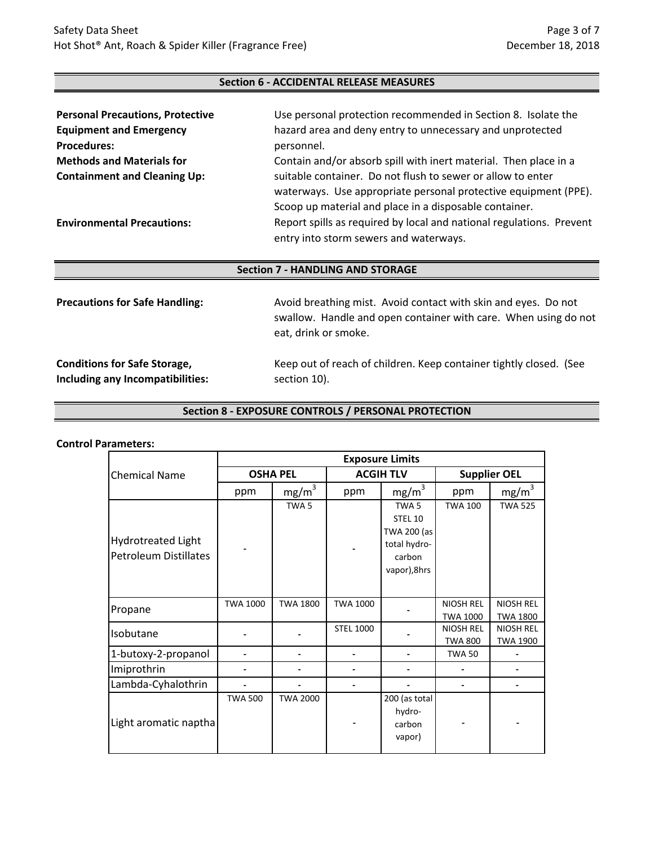## **Section 6 - ACCIDENTAL RELEASE MEASURES**

| <b>Personal Precautions, Protective</b> | Use personal protection recommended in Section 8. Isolate the                                                                  |  |
|-----------------------------------------|--------------------------------------------------------------------------------------------------------------------------------|--|
| <b>Equipment and Emergency</b>          | hazard area and deny entry to unnecessary and unprotected                                                                      |  |
| <b>Procedures:</b>                      | personnel.                                                                                                                     |  |
| <b>Methods and Materials for</b>        | Contain and/or absorb spill with inert material. Then place in a                                                               |  |
| <b>Containment and Cleaning Up:</b>     | suitable container. Do not flush to sewer or allow to enter<br>waterways. Use appropriate personal protective equipment (PPE). |  |
|                                         | Scoop up material and place in a disposable container.                                                                         |  |
| <b>Environmental Precautions:</b>       | Report spills as required by local and national regulations. Prevent<br>entry into storm sewers and waterways.                 |  |

## **Section 7 - HANDLING AND STORAGE**

| <b>Precautions for Safe Handling:</b> | Avoid breathing mist. Avoid contact with skin and eyes. Do not<br>swallow. Handle and open container with care. When using do not<br>eat, drink or smoke. |
|---------------------------------------|-----------------------------------------------------------------------------------------------------------------------------------------------------------|
| <b>Conditions for Safe Storage,</b>   | Keep out of reach of children. Keep container tightly closed. (See                                                                                        |
| Including any Incompatibilities:      | section 10).                                                                                                                                              |

## **Section 8 - EXPOSURE CONTROLS / PERSONAL PROTECTION**

#### **Control Parameters:**

|                                                           | <b>Exposure Limits</b> |                   |                  |                                                                                      |                                     |                                     |
|-----------------------------------------------------------|------------------------|-------------------|------------------|--------------------------------------------------------------------------------------|-------------------------------------|-------------------------------------|
| <b>Chemical Name</b>                                      | <b>OSHA PEL</b>        |                   | <b>ACGIH TLV</b> |                                                                                      | <b>Supplier OEL</b>                 |                                     |
|                                                           | ppm                    | mg/m <sup>3</sup> | ppm              | mg/m <sup>3</sup>                                                                    | ppm                                 | mg/m <sup>3</sup>                   |
| <b>Hydrotreated Light</b><br><b>Petroleum Distillates</b> |                        | TWA <sub>5</sub>  |                  | TWA <sub>5</sub><br>STEL 10<br>TWA 200 (as<br>total hydro-<br>carbon<br>vapor), 8hrs | <b>TWA 100</b>                      | <b>TWA 525</b>                      |
| Propane                                                   | <b>TWA 1000</b>        | <b>TWA 1800</b>   | <b>TWA 1000</b>  |                                                                                      | <b>NIOSH REL</b><br><b>TWA 1000</b> | <b>NIOSH REL</b><br><b>TWA 1800</b> |
| Isobutane                                                 |                        |                   | <b>STEL 1000</b> |                                                                                      | NIOSH REL<br><b>TWA 800</b>         | NIOSH REL<br><b>TWA 1900</b>        |
| 1-butoxy-2-propanol                                       |                        |                   |                  |                                                                                      | <b>TWA 50</b>                       |                                     |
| Imiprothrin                                               |                        |                   |                  |                                                                                      |                                     |                                     |
| Lambda-Cyhalothrin                                        |                        |                   |                  |                                                                                      |                                     |                                     |
| Light aromatic naptha                                     | <b>TWA 500</b>         | <b>TWA 2000</b>   |                  | 200 (as total<br>hydro-<br>carbon<br>vapor)                                          |                                     |                                     |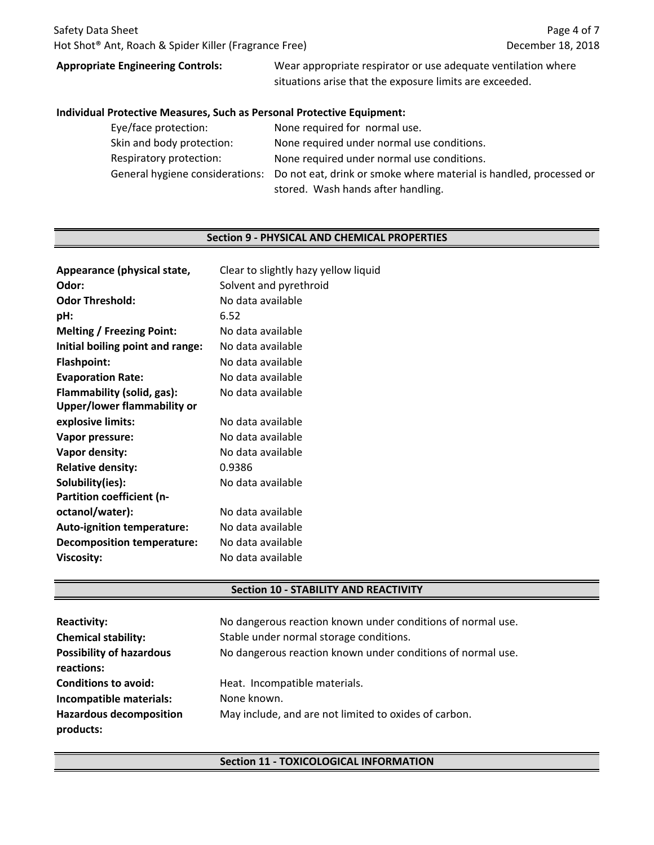## **Appropriate Engineering Controls:**

Wear appropriate respirator or use adequate ventilation where situations arise that the exposure limits are exceeded.

#### **Individual Protective Measures, Such as Personal Protective Equipment:**

| Eye/face protection:      | None required for normal use.                                                                      |
|---------------------------|----------------------------------------------------------------------------------------------------|
| Skin and body protection: | None required under normal use conditions.                                                         |
| Respiratory protection:   | None required under normal use conditions.                                                         |
|                           | General hygiene considerations: Do not eat, drink or smoke where material is handled, processed or |
|                           | stored. Wash hands after handling.                                                                 |

#### **Section 9 - PHYSICAL AND CHEMICAL PROPERTIES**

| Appearance (physical state,       | Clear to slightly hazy yellow liquid |
|-----------------------------------|--------------------------------------|
| Odor:                             | Solvent and pyrethroid               |
| <b>Odor Threshold:</b>            | No data available                    |
| pH:                               | 6.52                                 |
| <b>Melting / Freezing Point:</b>  | No data available                    |
| Initial boiling point and range:  | No data available                    |
| <b>Flashpoint:</b>                | No data available                    |
| <b>Evaporation Rate:</b>          | No data available                    |
| Flammability (solid, gas):        | No data available                    |
| Upper/lower flammability or       |                                      |
| explosive limits:                 | No data available                    |
| Vapor pressure:                   | No data available                    |
| Vapor density:                    | No data available                    |
| <b>Relative density:</b>          | 0.9386                               |
| Solubility(ies):                  | No data available                    |
| <b>Partition coefficient (n-</b>  |                                      |
| octanol/water):                   | No data available                    |
| <b>Auto-ignition temperature:</b> | No data available                    |
| <b>Decomposition temperature:</b> | No data available                    |
| <b>Viscosity:</b>                 | No data available                    |
|                                   |                                      |

#### **Section 10 - STABILITY AND REACTIVITY**

| <b>Reactivity:</b><br><b>Chemical stability:</b><br><b>Possibility of hazardous</b> | No dangerous reaction known under conditions of normal use.<br>Stable under normal storage conditions.<br>No dangerous reaction known under conditions of normal use. |
|-------------------------------------------------------------------------------------|-----------------------------------------------------------------------------------------------------------------------------------------------------------------------|
| reactions:<br><b>Conditions to avoid:</b>                                           | Heat. Incompatible materials.                                                                                                                                         |
| Incompatible materials:                                                             | None known.                                                                                                                                                           |
| <b>Hazardous decomposition</b><br>products:                                         | May include, and are not limited to oxides of carbon.                                                                                                                 |

### **Section 11 - TOXICOLOGICAL INFORMATION**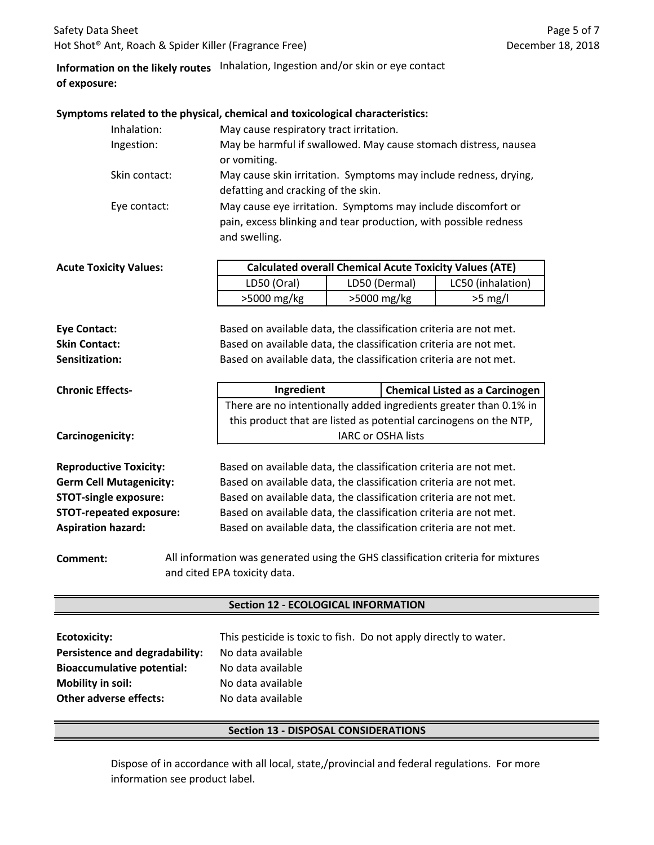## **Information on the likely routes** Inhalation, Ingestion and/or skin or eye contact **of exposure:**

#### **Symptoms related to the physical, chemical and toxicological characteristics:**

| Inhalation:   | May cause respiratory tract irritation.                                                                                                           |
|---------------|---------------------------------------------------------------------------------------------------------------------------------------------------|
| Ingestion:    | May be harmful if swallowed. May cause stomach distress, nausea                                                                                   |
|               | or vomiting.                                                                                                                                      |
| Skin contact: | May cause skin irritation. Symptoms may include redness, drying,                                                                                  |
|               | defatting and cracking of the skin.                                                                                                               |
| Eye contact:  | May cause eye irritation. Symptoms may include discomfort or<br>pain, excess blinking and tear production, with possible redness<br>and swelling. |

| <b>Acute Toxicity Values:</b> | <b>Calculated overall Chemical Acute Toxicity Values (ATE)</b> |               |                   |
|-------------------------------|----------------------------------------------------------------|---------------|-------------------|
|                               | LD50 (Oral)                                                    | LD50 (Dermal) | LC50 (inhalation) |
|                               | $>5000$ mg/kg                                                  | $>5000$ mg/kg | $>5$ mg/l         |
|                               |                                                                |               |                   |

**Sensitization:** Based on available data, the classification criteria are not met. **Eye Contact:** Based on available data, the classification criteria are not met. **Skin Contact:** Based on available data, the classification criteria are not met.

| <b>Chronic Effects-</b> | Ingredient                                                        | <b>Chemical Listed as a Carcinogen</b>                            |
|-------------------------|-------------------------------------------------------------------|-------------------------------------------------------------------|
|                         | There are no intentionally added ingredients greater than 0.1% in |                                                                   |
|                         |                                                                   | this product that are listed as potential carcinogens on the NTP, |
| Carcinogenicity:        |                                                                   | <b>IARC or OSHA lists</b>                                         |
|                         |                                                                   |                                                                   |

**Reproductive Toxicity: Germ Cell Mutagenicity: STOT-single exposure: STOT-repeated exposure: Aspiration hazard:**

Based on available data, the classification criteria are not met. Based on available data, the classification criteria are not met. Based on available data, the classification criteria are not met. Based on available data, the classification criteria are not met. Based on available data, the classification criteria are not met.

**Comment:** All information was generated using the GHS classification criteria for mixtures and cited EPA toxicity data.

#### **Section 12 - ECOLOGICAL INFORMATION**

| Ecotoxicity:                      | This pesticide is toxic to fish. Do not apply directly to water. |
|-----------------------------------|------------------------------------------------------------------|
| Persistence and degradability:    | No data available                                                |
| <b>Bioaccumulative potential:</b> | No data available                                                |
| <b>Mobility in soil:</b>          | No data available                                                |
| <b>Other adverse effects:</b>     | No data available                                                |

## **Section 13 - DISPOSAL CONSIDERATIONS**

Dispose of in accordance with all local, state,/provincial and federal regulations. For more information see product label.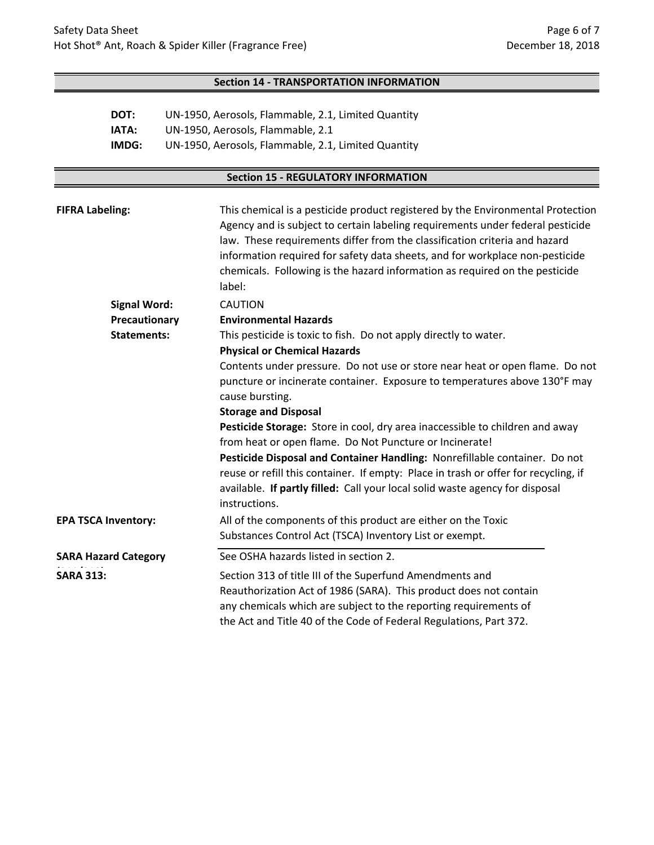## **Section 14 - TRANSPORTATION INFORMATION**

| DOT:  | UN-1950, Aerosols, Flammable, 2.1, Limited Quantity |
|-------|-----------------------------------------------------|
| IATA: | UN-1950, Aerosols, Flammable, 2.1                   |
| IMDG: | UN-1950, Aerosols, Flammable, 2.1, Limited Quantity |

# **Section 15 - REGULATORY INFORMATION**

| <b>FIFRA Labeling:</b>     |                                                                  | This chemical is a pesticide product registered by the Environmental Protection<br>Agency and is subject to certain labeling requirements under federal pesticide<br>law. These requirements differ from the classification criteria and hazard<br>information required for safety data sheets, and for workplace non-pesticide<br>chemicals. Following is the hazard information as required on the pesticide<br>label: |
|----------------------------|------------------------------------------------------------------|--------------------------------------------------------------------------------------------------------------------------------------------------------------------------------------------------------------------------------------------------------------------------------------------------------------------------------------------------------------------------------------------------------------------------|
|                            | <b>Signal Word:</b>                                              | <b>CAUTION</b>                                                                                                                                                                                                                                                                                                                                                                                                           |
|                            | Precautionary                                                    | <b>Environmental Hazards</b>                                                                                                                                                                                                                                                                                                                                                                                             |
| <b>Statements:</b>         | This pesticide is toxic to fish. Do not apply directly to water. |                                                                                                                                                                                                                                                                                                                                                                                                                          |
|                            |                                                                  | <b>Physical or Chemical Hazards</b>                                                                                                                                                                                                                                                                                                                                                                                      |
|                            |                                                                  | Contents under pressure. Do not use or store near heat or open flame. Do not                                                                                                                                                                                                                                                                                                                                             |
|                            |                                                                  | puncture or incinerate container. Exposure to temperatures above 130°F may                                                                                                                                                                                                                                                                                                                                               |
|                            | cause bursting.                                                  |                                                                                                                                                                                                                                                                                                                                                                                                                          |
|                            |                                                                  | <b>Storage and Disposal</b>                                                                                                                                                                                                                                                                                                                                                                                              |
|                            |                                                                  | Pesticide Storage: Store in cool, dry area inaccessible to children and away                                                                                                                                                                                                                                                                                                                                             |
|                            |                                                                  | from heat or open flame. Do Not Puncture or Incinerate!                                                                                                                                                                                                                                                                                                                                                                  |
|                            |                                                                  | Pesticide Disposal and Container Handling: Nonrefillable container. Do not                                                                                                                                                                                                                                                                                                                                               |
|                            |                                                                  | reuse or refill this container. If empty: Place in trash or offer for recycling, if                                                                                                                                                                                                                                                                                                                                      |
|                            |                                                                  | available. If partly filled: Call your local solid waste agency for disposal<br>instructions.                                                                                                                                                                                                                                                                                                                            |
| <b>EPA TSCA Inventory:</b> |                                                                  | All of the components of this product are either on the Toxic                                                                                                                                                                                                                                                                                                                                                            |
|                            |                                                                  | Substances Control Act (TSCA) Inventory List or exempt.                                                                                                                                                                                                                                                                                                                                                                  |
|                            | <b>SARA Hazard Category</b>                                      | See OSHA hazards listed in section 2.                                                                                                                                                                                                                                                                                                                                                                                    |
| <b>SARA 313:</b>           |                                                                  | Section 313 of title III of the Superfund Amendments and<br>Reauthorization Act of 1986 (SARA). This product does not contain<br>any chemicals which are subject to the reporting requirements of<br>the Act and Title 40 of the Code of Federal Regulations, Part 372.                                                                                                                                                  |